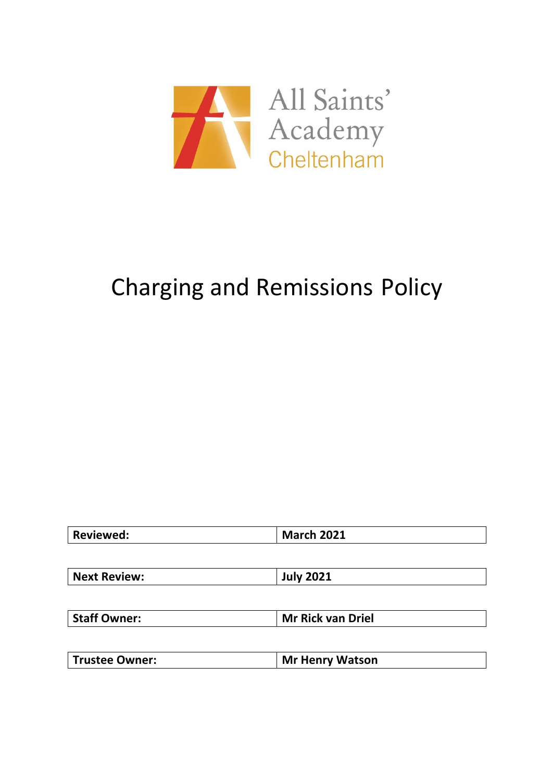

# Charging and Remissions Policy

| <b>Reviewed:</b> | <b>March 2021</b> |
|------------------|-------------------|
|                  |                   |

| <b>Staff Owner:</b> | <b>Mr Rick van Driel</b> |
|---------------------|--------------------------|
|---------------------|--------------------------|

|--|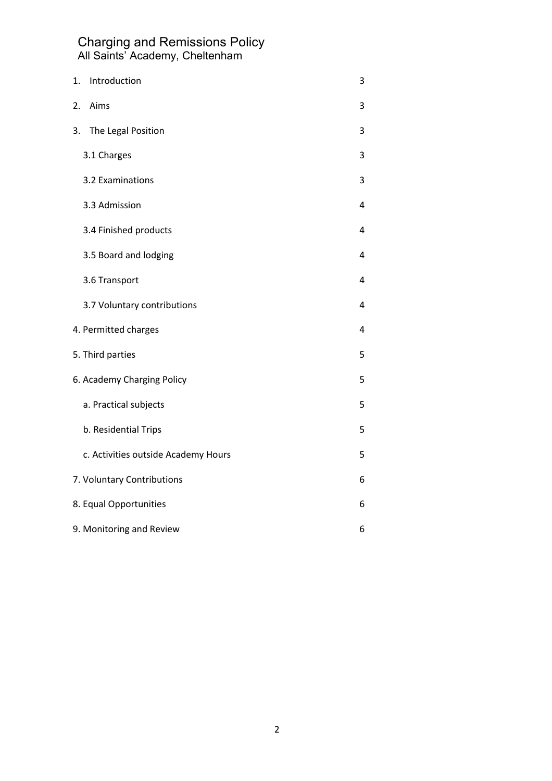| 1. | Introduction                        | 3 |
|----|-------------------------------------|---|
| 2. | Aims                                | 3 |
| 3. | The Legal Position                  | 3 |
|    | 3.1 Charges                         | 3 |
|    | 3.2 Examinations                    | 3 |
|    | 3.3 Admission                       | 4 |
|    | 3.4 Finished products               | 4 |
|    | 3.5 Board and lodging               | 4 |
|    | 3.6 Transport                       | 4 |
|    | 3.7 Voluntary contributions         | 4 |
|    | 4. Permitted charges                | 4 |
|    | 5. Third parties                    | 5 |
|    | 6. Academy Charging Policy          | 5 |
|    | a. Practical subjects               | 5 |
|    | b. Residential Trips                | 5 |
|    | c. Activities outside Academy Hours | 5 |
|    | 7. Voluntary Contributions          | 6 |
|    | 8. Equal Opportunities              | 6 |
|    | 9. Monitoring and Review            | 6 |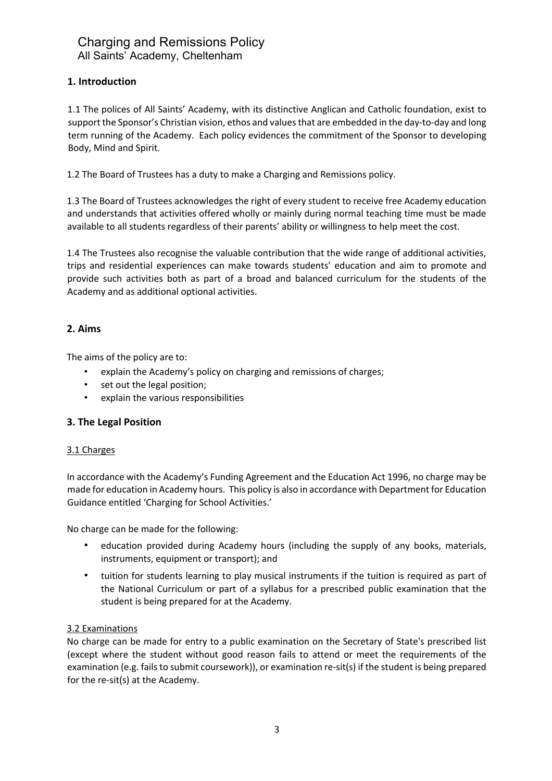## **1. Introduction**

1.1 The polices of All Saints' Academy, with its distinctive Anglican and Catholic foundation, exist to support the Sponsor's Christian vision, ethos and values that are embedded in the day-to-day and long term running of the Academy. Each policy evidences the commitment of the Sponsor to developing Body, Mind and Spirit.

1.2 The Board of Trustees has a duty to make a Charging and Remissions policy.

1.3 The Board of Trustees acknowledges the right of every student to receive free Academy education and understands that activities offered wholly or mainly during normal teaching time must be made available to all students regardless of their parents' ability or willingness to help meet the cost.

1.4 The Trustees also recognise the valuable contribution that the wide range of additional activities, trips and residential experiences can make towards students' education and aim to promote and provide such activities both as part of a broad and balanced curriculum for the students of the Academy and as additional optional activities.

#### **2. Aims**

The aims of the policy are to:

- explain the Academy's policy on charging and remissions of charges;
- set out the legal position;
- explain the various responsibilities

#### **3. The Legal Position**

#### 3.1 Charges

In accordance with the Academy's Funding Agreement and the Education Act 1996, no charge may be made for education in Academy hours. This policy is also in accordance with Department for Education Guidance entitled 'Charging for School Activities.'

No charge can be made for the following:

- education provided during Academy hours (including the supply of any books, materials, instruments, equipment or transport); and
- tuition for students learning to play musical instruments if the tuition is required as part of the National Curriculum or part of a syllabus for a prescribed public examination that the student is being prepared for at the Academy.

#### 3.2 Examinations

No charge can be made for entry to a public examination on the Secretary of State's prescribed list (except where the student without good reason fails to attend or meet the requirements of the examination (e.g. fails to submit coursework)), or examination re-sit(s) if the student is being prepared for the re-sit(s) at the Academy.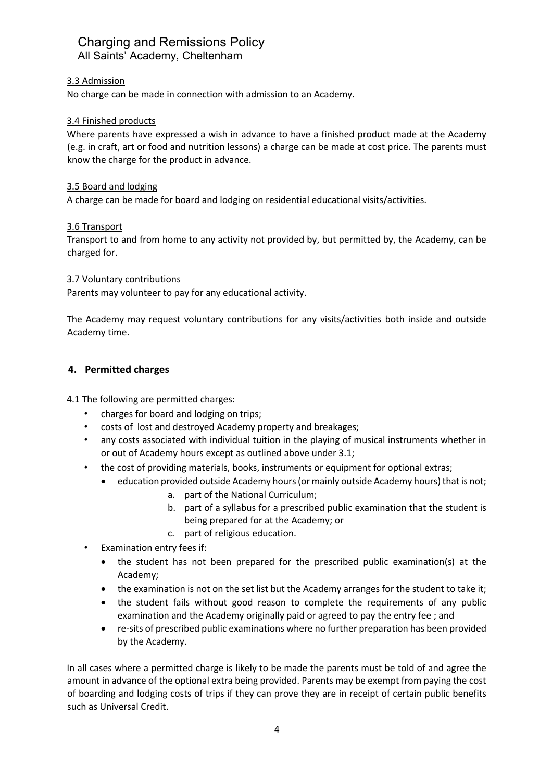#### 3.3 Admission

No charge can be made in connection with admission to an Academy.

#### 3.4 Finished products

Where parents have expressed a wish in advance to have a finished product made at the Academy (e.g. in craft, art or food and nutrition lessons) a charge can be made at cost price. The parents must know the charge for the product in advance.

#### 3.5 Board and lodging

A charge can be made for board and lodging on residential educational visits/activities.

#### 3.6 Transport

Transport to and from home to any activity not provided by, but permitted by, the Academy, can be charged for.

#### 3.7 Voluntary contributions

Parents may volunteer to pay for any educational activity.

The Academy may request voluntary contributions for any visits/activities both inside and outside Academy time.

#### **4. Permitted charges**

4.1 The following are permitted charges:

- charges for board and lodging on trips;
- costs of lost and destroyed Academy property and breakages;
- any costs associated with individual tuition in the playing of musical instruments whether in or out of Academy hours except as outlined above under 3.1;
- the cost of providing materials, books, instruments or equipment for optional extras;
	- education provided outside Academy hours (or mainly outside Academy hours) that is not; a. part of the National Curriculum;
		- b. part of a syllabus for a prescribed public examination that the student is being prepared for at the Academy; or
		- c. part of religious education.
- Examination entry fees if:
	- the student has not been prepared for the prescribed public examination(s) at the Academy;
	- the examination is not on the set list but the Academy arranges for the student to take it;
	- the student fails without good reason to complete the requirements of any public examination and the Academy originally paid or agreed to pay the entry fee ; and
	- re-sits of prescribed public examinations where no further preparation has been provided by the Academy.

In all cases where a permitted charge is likely to be made the parents must be told of and agree the amount in advance of the optional extra being provided. Parents may be exempt from paying the cost of boarding and lodging costs of trips if they can prove they are in receipt of certain public benefits such as Universal Credit.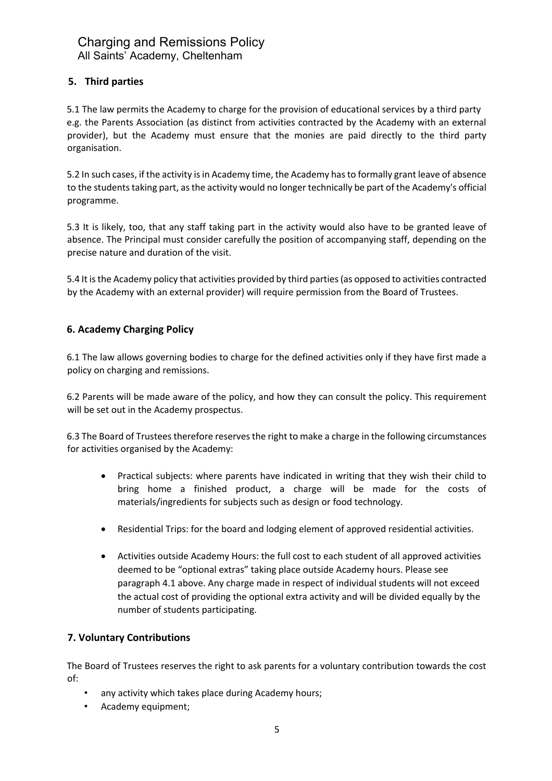## **5. Third parties**

5.1 The law permits the Academy to charge for the provision of educational services by a third party e.g. the Parents Association (as distinct from activities contracted by the Academy with an external provider), but the Academy must ensure that the monies are paid directly to the third party organisation.

5.2 In such cases, if the activity is in Academy time, the Academy has to formally grant leave of absence to the students taking part, as the activity would no longer technically be part of the Academy's official programme.

5.3 It is likely, too, that any staff taking part in the activity would also have to be granted leave of absence. The Principal must consider carefully the position of accompanying staff, depending on the precise nature and duration of the visit.

5.4 It is the Academy policy that activities provided by third parties (as opposed to activities contracted by the Academy with an external provider) will require permission from the Board of Trustees.

### **6. Academy Charging Policy**

6.1 The law allows governing bodies to charge for the defined activities only if they have first made a policy on charging and remissions.

6.2 Parents will be made aware of the policy, and how they can consult the policy. This requirement will be set out in the Academy prospectus.

6.3 The Board of Trustees therefore reserves the right to make a charge in the following circumstances for activities organised by the Academy:

- Practical subjects: where parents have indicated in writing that they wish their child to bring home a finished product, a charge will be made for the costs of materials/ingredients for subjects such as design or food technology.
- Residential Trips: for the board and lodging element of approved residential activities.
- Activities outside Academy Hours: the full cost to each student of all approved activities deemed to be "optional extras" taking place outside Academy hours. Please see paragraph 4.1 above. Any charge made in respect of individual students will not exceed the actual cost of providing the optional extra activity and will be divided equally by the number of students participating.

#### **7. Voluntary Contributions**

The Board of Trustees reserves the right to ask parents for a voluntary contribution towards the cost of:

- any activity which takes place during Academy hours;
- Academy equipment;